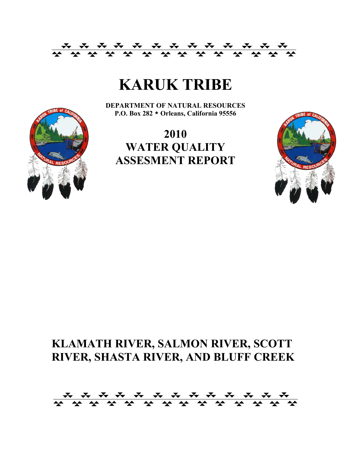

# **KARUK TRIBE**

**DEPARTMENT OF NATURAL RESOURCES P.O. Box 282 \* Orleans, California 95556**





# **KLAMATH RIVER, SALMON RIVER, SCOTT RIVER, SHASTA RIVER, AND BLUFF CREEK**

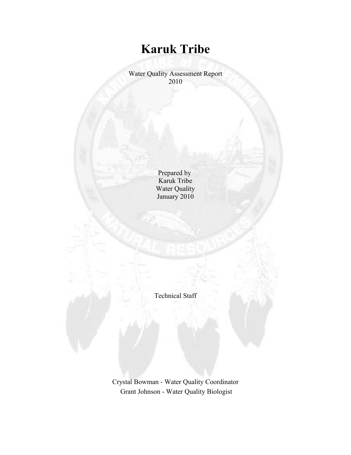## **Karuk Tribe**

Water Quality Assessment Report 2010

> Prepared by Karuk Tribe Water Quality January 2010

Technical Staff

Crystal Bowman - Water Quality Coordinator Grant Johnson - Water Quality Biologist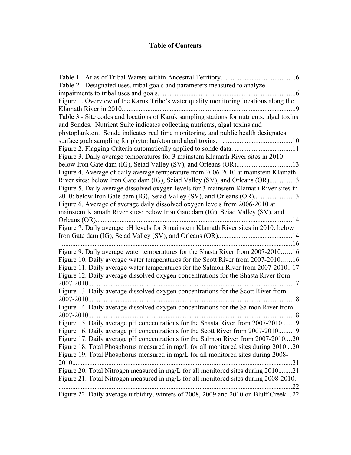### **Table of Contents**

| Table 2 - Designated uses, tribal goals and parameters measured to analyze                                                                                               |  |
|--------------------------------------------------------------------------------------------------------------------------------------------------------------------------|--|
| . 6                                                                                                                                                                      |  |
| Figure 1. Overview of the Karuk Tribe's water quality monitoring locations along the                                                                                     |  |
| Klamath River in 2010<br>. . 9                                                                                                                                           |  |
| Table 3 - Site codes and locations of Karuk sampling stations for nutrients, algal toxins<br>and Sondes. Nutrient Suite indicates collecting nutrients, algal toxins and |  |
| phytoplankton. Sonde indicates real time monitoring, and public health designates                                                                                        |  |
|                                                                                                                                                                          |  |
|                                                                                                                                                                          |  |
| Figure 3. Daily average temperatures for 3 mainstem Klamath River sites in 2010:                                                                                         |  |
|                                                                                                                                                                          |  |
| Figure 4. Average of daily average temperature from 2006-2010 at mainstem Klamath                                                                                        |  |
| River sites: below Iron Gate dam (IG), Seiad Valley (SV), and Orleans (OR)13                                                                                             |  |
| Figure 5. Daily average dissolved oxygen levels for 3 mainstem Klamath River sites in                                                                                    |  |
|                                                                                                                                                                          |  |
| Figure 6. Average of average daily dissolved oxygen levels from 2006-2010 at                                                                                             |  |
| mainstem Klamath River sites: below Iron Gate dam (IG), Seiad Valley (SV), and                                                                                           |  |
| .14<br>Orleans (OR)                                                                                                                                                      |  |
| Figure 7. Daily average pH levels for 3 mainstem Klamath River sites in 2010: below                                                                                      |  |
|                                                                                                                                                                          |  |
|                                                                                                                                                                          |  |
| Figure 9. Daily average water temperatures for the Shasta River from 2007-201016                                                                                         |  |
| Figure 10. Daily average water temperatures for the Scott River from 2007-201016                                                                                         |  |
| Figure 11. Daily average water temperatures for the Salmon River from 2007-2010 17                                                                                       |  |
| Figure 12. Daily average dissolved oxygen concentrations for the Shasta River from                                                                                       |  |
| 2007-2010<br>17                                                                                                                                                          |  |
| Figure 13. Daily average dissolved oxygen concentrations for the Scott River from                                                                                        |  |
| 2007-2010.<br>18                                                                                                                                                         |  |
| Figure 14. Daily average dissolved oxygen concentrations for the Salmon River from                                                                                       |  |
| 18                                                                                                                                                                       |  |
| Figure 15. Daily average pH concentrations for the Shasta River from 2007-201019                                                                                         |  |
| Figure 16. Daily average pH concentrations for the Scott River from 2007-2010<br>19                                                                                      |  |
| Figure 17. Daily average pH concentrations for the Salmon River from 2007-201020                                                                                         |  |
| Figure 18. Total Phosphorus measured in mg/L for all monitored sites during 201020                                                                                       |  |
| Figure 19. Total Phosphorus measured in mg/L for all monitored sites during 2008-                                                                                        |  |
| 2010<br>21                                                                                                                                                               |  |
| Figure 20. Total Nitrogen measured in mg/L for all monitored sites during 201021                                                                                         |  |
| Figure 21. Total Nitrogen measured in mg/L for all monitored sites during 2008-2010.                                                                                     |  |
| .22                                                                                                                                                                      |  |
| Figure 22. Daily average turbidity, winters of 2008, 2009 and 2010 on Bluff Creek. . 22                                                                                  |  |
|                                                                                                                                                                          |  |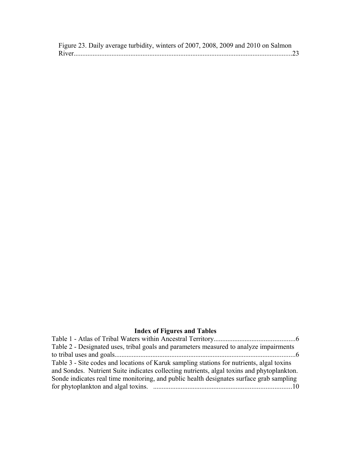| Figure 23. Daily average turbidity, winters of 2007, 2008, 2009 and 2010 on Salmon |  |  |  |
|------------------------------------------------------------------------------------|--|--|--|
|                                                                                    |  |  |  |

### **Index of Figures and Tables**

| Table 2 - Designated uses, tribal goals and parameters measured to analyze impairments     |  |
|--------------------------------------------------------------------------------------------|--|
|                                                                                            |  |
| Table 3 - Site codes and locations of Karuk sampling stations for nutrients, algal toxins  |  |
| and Sondes. Nutrient Suite indicates collecting nutrients, algal toxins and phytoplankton. |  |
| Sonde indicates real time monitoring, and public health designates surface grab sampling   |  |
|                                                                                            |  |
|                                                                                            |  |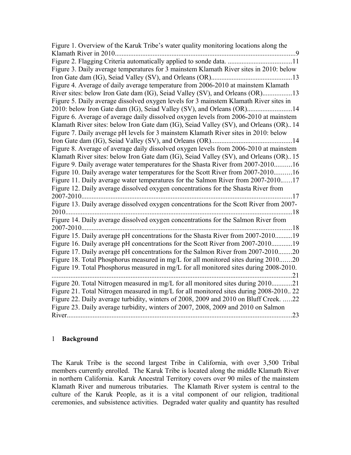| Figure 1. Overview of the Karuk Tribe's water quality monitoring locations along the                                                                                            |
|---------------------------------------------------------------------------------------------------------------------------------------------------------------------------------|
| Klamath River in 2010<br>$\cdot$ 9                                                                                                                                              |
|                                                                                                                                                                                 |
| Figure 3. Daily average temperatures for 3 mainstem Klamath River sites in 2010: below                                                                                          |
|                                                                                                                                                                                 |
| Figure 4. Average of daily average temperature from 2006-2010 at mainstem Klamath                                                                                               |
| River sites: below Iron Gate dam (IG), Seiad Valley (SV), and Orleans (OR)13                                                                                                    |
| Figure 5. Daily average dissolved oxygen levels for 3 mainstem Klamath River sites in                                                                                           |
| 2010: below Iron Gate dam (IG), Seiad Valley (SV), and Orleans (OR)14                                                                                                           |
| Figure 6. Average of average daily dissolved oxygen levels from 2006-2010 at mainstem                                                                                           |
| Klamath River sites: below Iron Gate dam (IG), Seiad Valley (SV), and Orleans (OR) 14                                                                                           |
| Figure 7. Daily average pH levels for 3 mainstem Klamath River sites in 2010: below                                                                                             |
| 14                                                                                                                                                                              |
| Figure 8. Average of average daily dissolved oxygen levels from 2006-2010 at mainstem                                                                                           |
| Klamath River sites: below Iron Gate dam (IG), Seiad Valley (SV), and Orleans (OR)15                                                                                            |
| Figure 9. Daily average water temperatures for the Shasta River from 2007-201016                                                                                                |
| Figure 10. Daily average water temperatures for the Scott River from 2007-201016                                                                                                |
| Figure 11. Daily average water temperatures for the Salmon River from 2007-201017                                                                                               |
| Figure 12. Daily average dissolved oxygen concentrations for the Shasta River from                                                                                              |
| 2007-2010<br>$\ldots$ 17                                                                                                                                                        |
| Figure 13. Daily average dissolved oxygen concentrations for the Scott River from 2007-                                                                                         |
| 2010<br>18                                                                                                                                                                      |
| Figure 14. Daily average dissolved oxygen concentrations for the Salmon River from                                                                                              |
| .18<br>2007-2010.                                                                                                                                                               |
| Figure 15. Daily average pH concentrations for the Shasta River from 2007-201019                                                                                                |
| Figure 16. Daily average pH concentrations for the Scott River from 2007-201019                                                                                                 |
| Figure 17. Daily average pH concentrations for the Salmon River from 2007-201020                                                                                                |
| Figure 18. Total Phosphorus measured in mg/L for all monitored sites during 201020                                                                                              |
| Figure 19. Total Phosphorus measured in mg/L for all monitored sites during 2008-2010.                                                                                          |
| 21                                                                                                                                                                              |
| Figure 20. Total Nitrogen measured in mg/L for all monitored sites during 2010<br>21<br>Figure 21. Total Nitrogen measured in mg/L for all monitored sites during 2008-2010. 22 |
| Figure 22. Daily average turbidity, winters of 2008, 2009 and 2010 on Bluff Creek. 22                                                                                           |
|                                                                                                                                                                                 |
| Figure 23. Daily average turbidity, winters of 2007, 2008, 2009 and 2010 on Salmon<br>.23                                                                                       |
|                                                                                                                                                                                 |

#### 1 **Background**

The Karuk Tribe is the second largest Tribe in California, with over 3,500 Tribal members currently enrolled. The Karuk Tribe is located along the middle Klamath River in northern California. Karuk Ancestral Territory covers over 90 miles of the mainstem Klamath River and numerous tributaries. The Klamath River system is central to the culture of the Karuk People, as it is a vital component of our religion, traditional ceremonies, and subsistence activities. Degraded water quality and quantity has resulted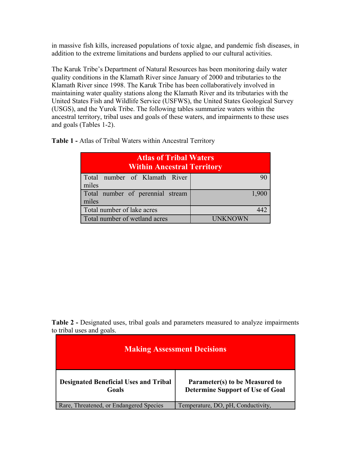in massive fish kills, increased populations of toxic algae, and pandemic fish diseases, in addition to the extreme limitations and burdens applied to our cultural activities.

The Karuk Tribe's Department of Natural Resources has been monitoring daily water quality conditions in the Klamath River since January of 2000 and tributaries to the Klamath River since 1998. The Karuk Tribe has been collaboratively involved in maintaining water quality stations along the Klamath River and its tributaries with the United States Fish and Wildlife Service (USFWS), the United States Geological Survey (USGS), and the Yurok Tribe. The following tables summarize waters within the ancestral territory, tribal uses and goals of these waters, and impairments to these uses and goals (Tables 1-2).

| <b>Atlas of Tribal Waters</b><br><b>Within Ancestral Territory</b> |                |  |  |
|--------------------------------------------------------------------|----------------|--|--|
| Total number of Klamath River<br>miles                             |                |  |  |
| Total number of perennial stream<br>miles                          | 1,900          |  |  |
| Total number of lake acres                                         |                |  |  |
| Total number of wetland acres                                      | <b>UNKNOWN</b> |  |  |

**Table 1 -** Atlas of Tribal Waters within Ancestral Territory

**Table 2 -** Designated uses, tribal goals and parameters measured to analyze impairments to tribal uses and goals.

| <b>Making Assessment Decisions</b>                    |                                                                           |  |  |  |
|-------------------------------------------------------|---------------------------------------------------------------------------|--|--|--|
| <b>Designated Beneficial Uses and Tribal</b><br>Goals | Parameter(s) to be Measured to<br><b>Determine Support of Use of Goal</b> |  |  |  |
| Rare, Threatened, or Endangered Species               | Temperature, DO, pH, Conductivity,                                        |  |  |  |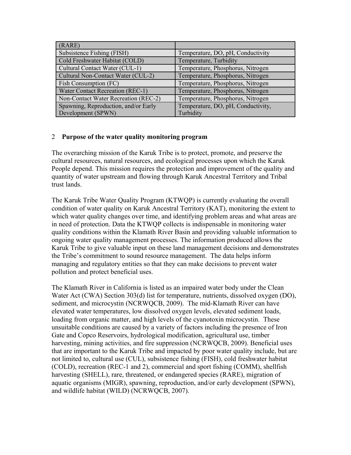| (RARE)                               |                                    |
|--------------------------------------|------------------------------------|
| Subsistence Fishing (FISH)           | Temperature, DO, pH, Conductivity  |
| Cold Freshwater Habitat (COLD)       | Temperature, Turbidity             |
| Cultural Contact Water (CUL-1)       | Temperature, Phosphorus, Nitrogen  |
| Cultural Non-Contact Water (CUL-2)   | Temperature, Phosphorus, Nitrogen  |
| Fish Consumption (FC)                | Temperature, Phosphorus, Nitrogen  |
| Water Contact Recreation (REC-1)     | Temperature, Phosphorus, Nitrogen  |
| Non-Contact Water Recreation (REC-2) | Temperature, Phosphorus, Nitrogen  |
| Spawning, Reproduction, and/or Early | Temperature, DO, pH, Conductivity, |
| Development (SPWN)                   | Turbidity                          |

#### 2 **Purpose of the water quality monitoring program**

The overarching mission of the Karuk Tribe is to protect, promote, and preserve the cultural resources, natural resources, and ecological processes upon which the Karuk People depend. This mission requires the protection and improvement of the quality and quantity of water upstream and flowing through Karuk Ancestral Territory and Tribal trust lands.

The Karuk Tribe Water Quality Program (KTWQP) is currently evaluating the overall condition of water quality on Karuk Ancestral Territory (KAT), monitoring the extent to which water quality changes over time, and identifying problem areas and what areas are in need of protection. Data the KTWQP collects is indispensable in monitoring water quality conditions within the Klamath River Basin and providing valuable information to ongoing water quality management processes. The information produced allows the Karuk Tribe to give valuable input on these land management decisions and demonstrates the Tribe's commitment to sound resource management. The data helps inform managing and regulatory entities so that they can make decisions to prevent water pollution and protect beneficial uses.

The Klamath River in California is listed as an impaired water body under the Clean Water Act (CWA) Section 303(d) list for temperature, nutrients, dissolved oxygen (DO), sediment, and microcystin (NCRWQCB, 2009). The mid-Klamath River can have elevated water temperatures, low dissolved oxygen levels, elevated sediment loads, loading from organic matter, and high levels of the cyanotoxin microcystin. These unsuitable conditions are caused by a variety of factors including the presence of Iron Gate and Copco Reservoirs, hydrological modification, agricultural use, timber harvesting, mining activities, and fire suppression (NCRWQCB, 2009). Beneficial uses that are important to the Karuk Tribe and impacted by poor water quality include, but are not limited to, cultural use (CUL), subsistence fishing (FISH), cold freshwater habitat (COLD), recreation (REC-1 and 2), commercial and sport fishing (COMM), shellfish harvesting (SHELL), rare, threatened, or endangered species (RARE), migration of aquatic organisms (MIGR), spawning, reproduction, and/or early development (SPWN), and wildlife habitat (WILD) (NCRWQCB, 2007).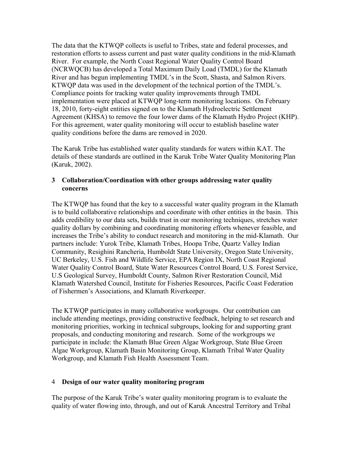The data that the KTWQP collects is useful to Tribes, state and federal processes, and restoration efforts to assess current and past water quality conditions in the mid-Klamath River. For example, the North Coast Regional Water Quality Control Board (NCRWQCB) has developed a Total Maximum Daily Load (TMDL) for the Klamath River and has begun implementing TMDL's in the Scott, Shasta, and Salmon Rivers. KTWQP data was used in the development of the technical portion of the TMDL's. Compliance points for tracking water quality improvements through TMDL implementation were placed at KTWQP long-term monitoring locations. On February 18, 2010, forty-eight entities signed on to the Klamath Hydroelectric Settlement Agreement (KHSA) to remove the four lower dams of the Klamath Hydro Project (KHP). For this agreement, water quality monitoring will occur to establish baseline water quality conditions before the dams are removed in 2020.

The Karuk Tribe has established water quality standards for waters within KAT. The details of these standards are outlined in the Karuk Tribe Water Quality Monitoring Plan (Karuk, 2002).

#### **3 Collaboration/Coordination with other groups addressing water quality concerns**

The KTWQP has found that the key to a successful water quality program in the Klamath is to build collaborative relationships and coordinate with other entities in the basin. This adds credibility to our data sets, builds trust in our monitoring techniques, stretches water quality dollars by combining and coordinating monitoring efforts whenever feasible, and increases the Tribe's ability to conduct research and monitoring in the mid-Klamath. Our partners include: Yurok Tribe, Klamath Tribes, Hoopa Tribe, Quartz Valley Indian Community, Resighini Rancheria, Humboldt State University, Oregon State University, UC Berkeley, U.S. Fish and Wildlife Service, EPA Region IX, North Coast Regional Water Quality Control Board, State Water Resources Control Board, U.S. Forest Service, U.S Geological Survey, Humboldt County, Salmon River Restoration Council, Mid Klamath Watershed Council, Institute for Fisheries Resources, Pacific Coast Federation of Fishermen's Associations, and Klamath Riverkeeper.

The KTWQP participates in many collaborative workgroups. Our contribution can include attending meetings, providing constructive feedback, helping to set research and monitoring priorities, working in technical subgroups, looking for and supporting grant proposals, and conducting monitoring and research. Some of the workgroups we participate in include: the Klamath Blue Green Algae Workgroup, State Blue Green Algae Workgroup, Klamath Basin Monitoring Group, Klamath Tribal Water Quality Workgroup, and Klamath Fish Health Assessment Team.

#### 4 **Design of our water quality monitoring program**

The purpose of the Karuk Tribe's water quality monitoring program is to evaluate the quality of water flowing into, through, and out of Karuk Ancestral Territory and Tribal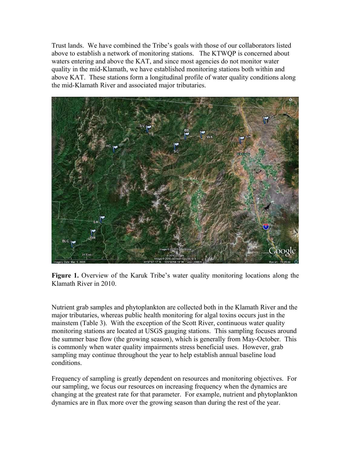Trust lands. We have combined the Tribe's goals with those of our collaborators listed above to establish a network of monitoring stations. The KTWQP is concerned about waters entering and above the KAT, and since most agencies do not monitor water quality in the mid-Klamath, we have established monitoring stations both within and above KAT. These stations form a longitudinal profile of water quality conditions along the mid-Klamath River and associated major tributaries.





Nutrient grab samples and phytoplankton are collected both in the Klamath River and the major tributaries, whereas public health monitoring for algal toxins occurs just in the mainstem (Table 3). With the exception of the Scott River, continuous water quality monitoring stations are located at USGS gauging stations. This sampling focuses around the summer base flow (the growing season), which is generally from May-October. This is commonly when water quality impairments stress beneficial uses. However, grab sampling may continue throughout the year to help establish annual baseline load conditions.

Frequency of sampling is greatly dependent on resources and monitoring objectives. For our sampling, we focus our resources on increasing frequency when the dynamics are changing at the greatest rate for that parameter. For example, nutrient and phytoplankton dynamics are in flux more over the growing season than during the rest of the year.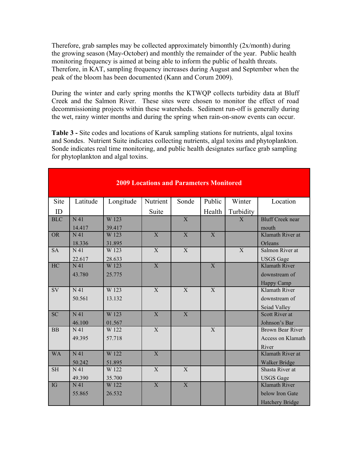Therefore, grab samples may be collected approximately bimonthly (2x/month) during the growing season (May-October) and monthly the remainder of the year. Public health monitoring frequency is aimed at being able to inform the public of health threats. Therefore, in KAT, sampling frequency increases during August and September when the peak of the bloom has been documented (Kann and Corum 2009).

During the winter and early spring months the KTWQP collects turbidity data at Bluff Creek and the Salmon River. These sites were chosen to monitor the effect of road decommissioning projects within these watersheds. Sediment run-off is generally during the wet, rainy winter months and during the spring when rain-on-snow events can occur.

**Table 3 -** Site codes and locations of Karuk sampling stations for nutrients, algal toxins and Sondes. Nutrient Suite indicates collecting nutrients, algal toxins and phytoplankton. Sonde indicates real time monitoring, and public health designates surface grab sampling for phytoplankton and algal toxins.

| <b>2009 Locations and Parameters Monitored</b> |                  |           |                |                |                |                |                         |
|------------------------------------------------|------------------|-----------|----------------|----------------|----------------|----------------|-------------------------|
| Site                                           | Latitude         | Longitude | Nutrient       | Sonde          | Public         | Winter         | Location                |
| ID                                             |                  |           | Suite          |                | Health         | Turbidity      |                         |
| <b>BLC</b>                                     | N <sub>41</sub>  | W 123     |                | $\overline{X}$ |                | X              | <b>Bluff Creek near</b> |
|                                                | 14.417           | 39.417    |                |                |                |                | mouth                   |
| <b>OR</b>                                      | N <sub>41</sub>  | W 123     | X              | $\mathbf{X}$   | X              |                | Klamath River at        |
|                                                | 18.336           | 31.895    |                |                |                |                | Orleans                 |
| <b>SA</b>                                      | N <sub>41</sub>  | W 123     | $\overline{X}$ | $\overline{X}$ |                | $\overline{X}$ | Salmon River at         |
|                                                | 22.617           | 28.633    |                |                |                |                | <b>USGS</b> Gage        |
| HC                                             | N <sub>41</sub>  | W 123     | $\overline{X}$ |                | $\overline{X}$ |                | <b>Klamath River</b>    |
|                                                | 43.780           | 25.775    |                |                |                |                | downstream of           |
|                                                |                  |           |                |                |                |                | Happy Camp              |
| <b>SV</b>                                      | N 41             | W 123     | X              | X              | X              |                | Klamath River           |
|                                                | 50.561           | 13.132    |                |                |                |                | downstream of           |
|                                                |                  |           |                |                |                |                | Seiad Valley            |
| <b>SC</b>                                      | $\overline{N41}$ | W 123     | $\overline{X}$ | $\overline{X}$ |                |                | Scott River at          |
|                                                | 46.100           | 01.567    |                |                |                |                | Johnson's Bar           |
| <b>BB</b>                                      | N <sub>41</sub>  | W 122     | X              |                | X              |                | <b>Brown Bear River</b> |
|                                                | 49.395           | 57.718    |                |                |                |                | Access on Klamath       |
|                                                |                  |           |                |                |                |                | River                   |
| <b>WA</b>                                      | N <sub>41</sub>  | W 122     | $\overline{X}$ |                |                |                | Klamath River at        |
|                                                | 50.242           | 51.895    |                |                |                |                | Walker Bridge           |
| <b>SH</b>                                      | N 41             | W 122     | X              | X              |                |                | Shasta River at         |
|                                                | 49.390           | 35.700    |                |                |                |                | <b>USGS</b> Gage        |
| IG                                             | N <sub>41</sub>  | W 122     | $\overline{X}$ | $\overline{X}$ |                |                | <b>Klamath River</b>    |
|                                                | 55.865           | 26.532    |                |                |                |                | below Iron Gate         |
|                                                |                  |           |                |                |                |                | <b>Hatchery Bridge</b>  |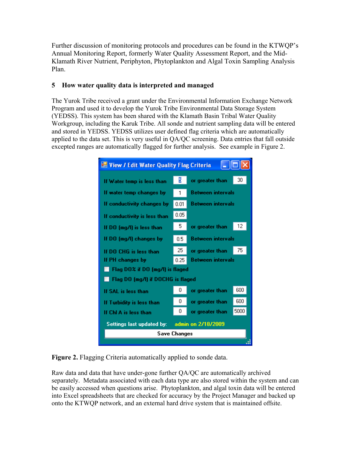Further discussion of monitoring protocols and procedures can be found in the KTWQP's Annual Monitoring Report, formerly Water Quality Assessment Report, and the Mid-Klamath River Nutrient, Periphyton, Phytoplankton and Algal Toxin Sampling Analysis Plan.

#### **5 How water quality data is interpreted and managed**

The Yurok Tribe received a grant under the Environmental Information Exchange Network Program and used it to develop the Yurok Tribe Environmental Data Storage System (YEDSS). This system has been shared with the Klamath Basin Tribal Water Quality Workgroup, including the Karuk Tribe. All sonde and nutrient sampling data will be entered and stored in YEDSS. YEDSS utilizes user defined flag criteria which are automatically applied to the data set. This is very useful in QA/QC screening. Data entries that fall outside excepted ranges are automatically flagged for further analysis. See example in Figure 2.



**Figure 2.** Flagging Criteria automatically applied to sonde data.

Raw data and data that have under-gone further QA/QC are automatically archived separately. Metadata associated with each data type are also stored within the system and can be easily accessed when questions arise. Phytoplankton, and algal toxin data will be entered into Excel spreadsheets that are checked for accuracy by the Project Manager and backed up onto the KTWQP network, and an external hard drive system that is maintained offsite.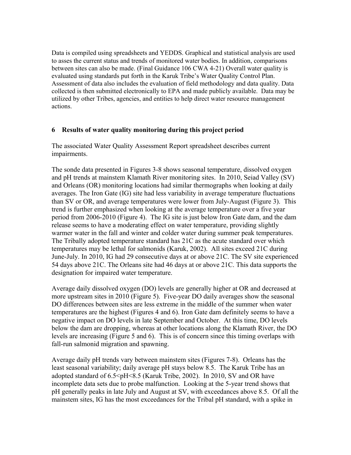Data is compiled using spreadsheets and YEDDS. Graphical and statistical analysis are used to asses the current status and trends of monitored water bodies. In addition, comparisons between sites can also be made. (Final Guidance 106 CWA 4-21) Overall water quality is evaluated using standards put forth in the Karuk Tribe's Water Quality Control Plan. Assessment of data also includes the evaluation of field methodology and data quality. Data collected is then submitted electronically to EPA and made publicly available. Data may be utilized by other Tribes, agencies, and entities to help direct water resource management actions.

#### **6 Results of water quality monitoring during this project period**

The associated Water Quality Assessment Report spreadsheet describes current impairments.

The sonde data presented in Figures 3-8 shows seasonal temperature, dissolved oxygen and pH trends at mainstem Klamath River monitoring sites. In 2010, Seiad Valley (SV) and Orleans (OR) monitoring locations had similar thermographs when looking at daily averages. The Iron Gate (IG) site had less variability in average temperature fluctuations than SV or OR, and average temperatures were lower from July-August (Figure 3). This trend is further emphasized when looking at the average temperature over a five year period from 2006-2010 (Figure 4). The IG site is just below Iron Gate dam, and the dam release seems to have a moderating effect on water temperature, providing slightly warmer water in the fall and winter and colder water during summer peak temperatures. The Tribally adopted temperature standard has 21C as the acute standard over which temperatures may be lethal for salmonids (Karuk, 2002). All sites exceed 21C during June-July. In 2010, IG had 29 consecutive days at or above 21C. The SV site experienced 54 days above 21C. The Orleans site had 46 days at or above 21C. This data supports the designation for impaired water temperature.

Average daily dissolved oxygen (DO) levels are generally higher at OR and decreased at more upstream sites in 2010 (Figure 5). Five-year DO daily averages show the seasonal DO differences between sites are less extreme in the middle of the summer when water temperatures are the highest (Figures 4 and 6). Iron Gate dam definitely seems to have a negative impact on DO levels in late September and October. At this time, DO levels below the dam are dropping, whereas at other locations along the Klamath River, the DO levels are increasing (Figure 5 and 6). This is of concern since this timing overlaps with fall-run salmonid migration and spawning.

Average daily pH trends vary between mainstem sites (Figures 7-8). Orleans has the least seasonal variability; daily average pH stays below 8.5. The Karuk Tribe has an adopted standard of 6.5<pH<8.5 (Karuk Tribe, 2002). In 2010, SV and OR have incomplete data sets due to probe malfunction. Looking at the 5-year trend shows that pH generally peaks in late July and August at SV, with exceedances above 8.5. Of all the mainstem sites, IG has the most exceedances for the Tribal pH standard, with a spike in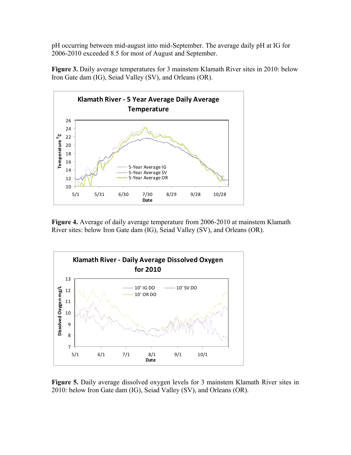pH occurring between mid-august into mid-September. The average daily pH at IG for 2006-2010 exceeded 8.5 for most of August and September.

**Figure 3.** Daily average temperatures for 3 mainstem Klamath River sites in 2010: below Iron Gate dam (IG), Seiad Valley (SV), and Orleans (OR).



**Figure 4.** Average of daily average temperature from 2006-2010 at mainstem Klamath River sites: below Iron Gate dam (IG), Seiad Valley (SV), and Orleans (OR).



**Figure 5.** Daily average dissolved oxygen levels for 3 mainstem Klamath River sites in 2010: below Iron Gate dam (IG), Seiad Valley (SV), and Orleans (OR).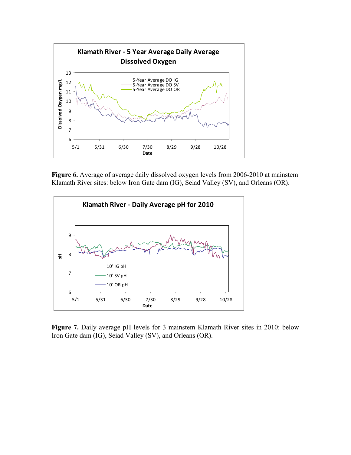

**Figure 6.** Average of average daily dissolved oxygen levels from 2006-2010 at mainstem Klamath River sites: below Iron Gate dam (IG), Seiad Valley (SV), and Orleans (OR).



**Figure 7.** Daily average pH levels for 3 mainstem Klamath River sites in 2010: below Iron Gate dam (IG), Seiad Valley (SV), and Orleans (OR).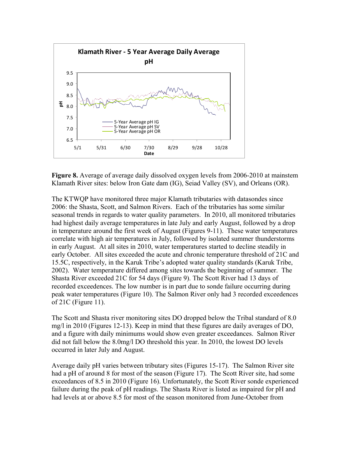

**Figure 8.** Average of average daily dissolved oxygen levels from 2006-2010 at mainstem Klamath River sites: below Iron Gate dam (IG), Seiad Valley (SV), and Orleans (OR).

The KTWQP have monitored three major Klamath tributaries with datasondes since 2006: the Shasta, Scott, and Salmon Rivers. Each of the tributaries has some similar seasonal trends in regards to water quality parameters. In 2010, all monitored tributaries had highest daily average temperatures in late July and early August, followed by a drop in temperature around the first week of August (Figures 9-11). These water temperatures correlate with high air temperatures in July, followed by isolated summer thunderstorms in early August. At all sites in 2010, water temperatures started to decline steadily in early October. All sites exceeded the acute and chronic temperature threshold of 21C and 15.5C, respectively, in the Karuk Tribe's adopted water quality standards (Karuk Tribe, 2002). Water temperature differed among sites towards the beginning of summer. The Shasta River exceeded 21C for 54 days (Figure 9). The Scott River had 13 days of recorded exceedences. The low number is in part due to sonde failure occurring during peak water temperatures (Figure 10). The Salmon River only had 3 recorded exceedences of 21C (Figure 11).

The Scott and Shasta river monitoring sites DO dropped below the Tribal standard of 8.0 mg/l in 2010 (Figures 12-13). Keep in mind that these figures are daily averages of DO, and a figure with daily minimums would show even greater exceedances. Salmon River did not fall below the 8.0mg/l DO threshold this year. In 2010, the lowest DO levels occurred in later July and August.

Average daily pH varies between tributary sites (Figures 15-17). The Salmon River site had a pH of around 8 for most of the season (Figure 17). The Scott River site, had some exceedances of 8.5 in 2010 (Figure 16). Unfortunately, the Scott River sonde experienced failure during the peak of pH readings. The Shasta River is listed as impaired for pH and had levels at or above 8.5 for most of the season monitored from June-October from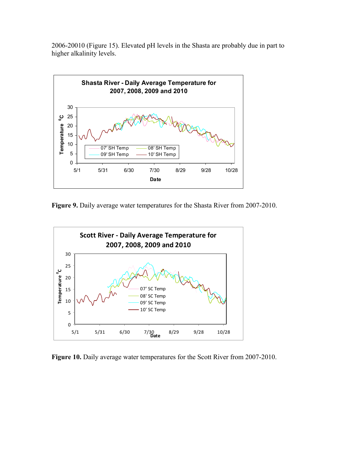2006-20010 (Figure 15). Elevated pH levels in the Shasta are probably due in part to higher alkalinity levels.



**Figure 9.** Daily average water temperatures for the Shasta River from 2007-2010.



Figure 10. Daily average water temperatures for the Scott River from 2007-2010.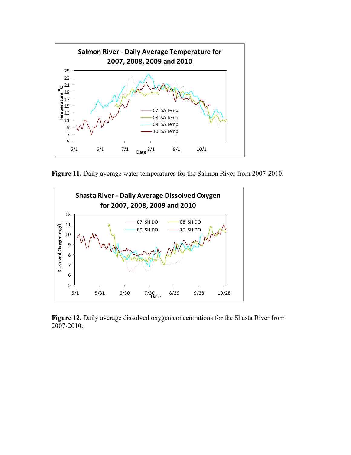

Figure 11. Daily average water temperatures for the Salmon River from 2007-2010.



**Figure 12.** Daily average dissolved oxygen concentrations for the Shasta River from 2007-2010.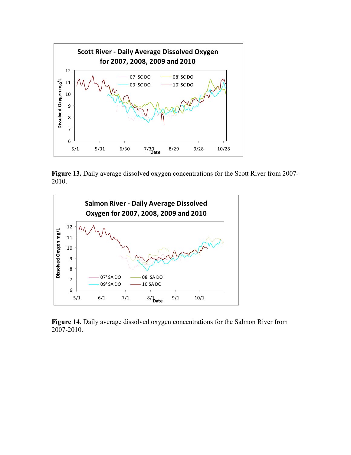

**Figure 13.** Daily average dissolved oxygen concentrations for the Scott River from 2007- 2010.



**Figure 14.** Daily average dissolved oxygen concentrations for the Salmon River from 2007-2010.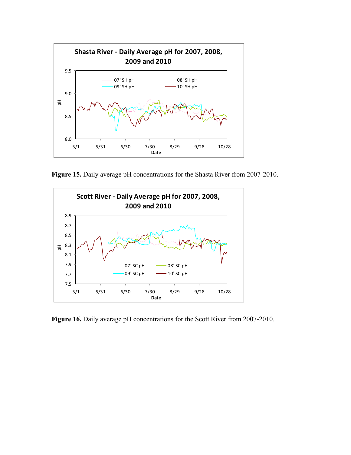

**Figure 15.** Daily average pH concentrations for the Shasta River from 2007-2010.



Figure 16. Daily average pH concentrations for the Scott River from 2007-2010.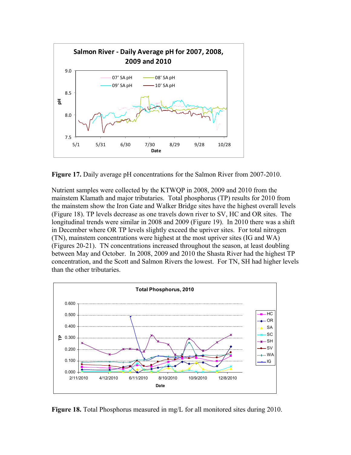

**Figure 17.** Daily average pH concentrations for the Salmon River from 2007-2010.

Nutrient samples were collected by the KTWQP in 2008, 2009 and 2010 from the mainstem Klamath and major tributaries. Total phosphorus (TP) results for 2010 from the mainstem show the Iron Gate and Walker Bridge sites have the highest overall levels (Figure 18). TP levels decrease as one travels down river to SV, HC and OR sites. The longitudinal trends were similar in 2008 and 2009 (Figure 19). In 2010 there was a shift in December where OR TP levels slightly exceed the upriver sites. For total nitrogen (TN), mainstem concentrations were highest at the most upriver sites (IG and WA) (Figures 20-21). TN concentrations increased throughout the season, at least doubling between May and October. In 2008, 2009 and 2010 the Shasta River had the highest TP concentration, and the Scott and Salmon Rivers the lowest. For TN, SH had higher levels than the other tributaries.



**Figure 18.** Total Phosphorus measured in mg/L for all monitored sites during 2010.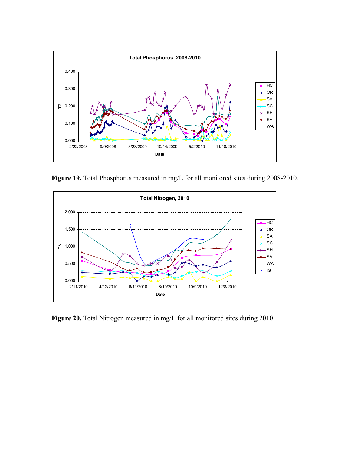

Figure 19. Total Phosphorus measured in mg/L for all monitored sites during 2008-2010.



Figure 20. Total Nitrogen measured in mg/L for all monitored sites during 2010.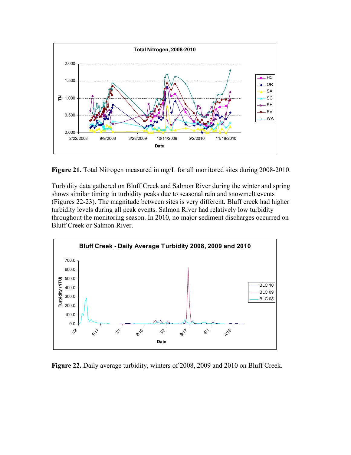

**Figure 21.** Total Nitrogen measured in mg/L for all monitored sites during 2008-2010.

Turbidity data gathered on Bluff Creek and Salmon River during the winter and spring shows similar timing in turbidity peaks due to seasonal rain and snowmelt events (Figures 22-23). The magnitude between sites is very different. Bluff creek had higher turbidity levels during all peak events. Salmon River had relatively low turbidity throughout the monitoring season. In 2010, no major sediment discharges occurred on Bluff Creek or Salmon River.



**Figure 22.** Daily average turbidity, winters of 2008, 2009 and 2010 on Bluff Creek.